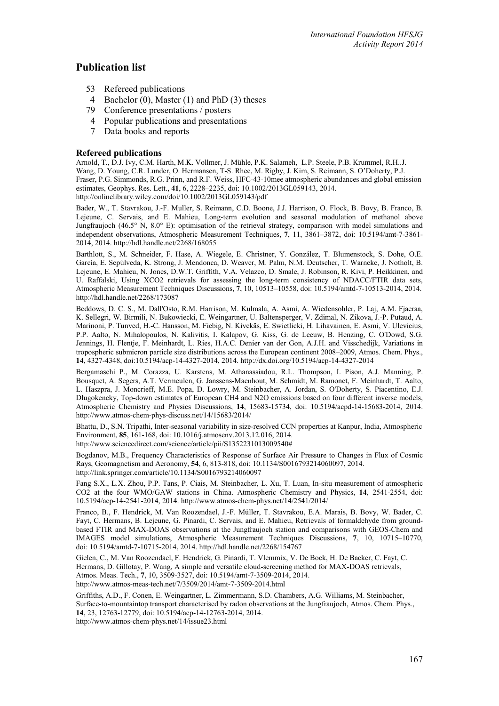# **Publication list**

- 53 Refereed publications
- 4 Bachelor (0), Master (1) and PhD (3) theses
- 79 Conference presentations / posters
- 4 Popular publications and presentations
- 7 Data books and reports

## **Refereed publications**

Arnold, T., D.J. Ivy, C.M. Harth, M.K. Vollmer, J. Mühle, P.K. Salameh, L.P. Steele, P.B. Krummel, R.H..J. Wang, D. Young, C.R. Lunder, O. Hermansen, T-S. Rhee, M. Rigby, J. Kim, S. Reimann, S. O'Doherty, P.J. Fraser, P.G. Simmonds, R.G. Prinn, and R.F. Weiss, HFC-43-10mee atmospheric abundances and global emission estimates, Geophys. Res. Lett., **41**, 6, 2228–2235, doi: 10.1002/2013GL059143, 2014. http://onlinelibrary.wiley.com/doi/10.1002/2013GL059143/pdf

Bader, W., T. Stavrakou, J.-F. Muller, S. Reimann, C.D. Boone, J.J. Harrison, O. Flock, B. Bovy, B. Franco, B. Lejeune, C. Servais, and E. Mahieu, Long-term evolution and seasonal modulation of methanol above Jungfraujoch (46.5° N, 8.0° E): optimisation of the retrieval strategy, comparison with model simulations and independent observations, Atmospheric Measurement Techniques, **7**, 11, 3861–3872, doi: 10.5194/amt-7-3861- 2014, 2014. http://hdl.handle.net/2268/168055

Barthlott, S., M. Schneider, F. Hase, A. Wiegele, E. Christner, Y. González, T. Blumenstock, S. Dohe, O.E. García, E. Sepúlveda, K. Strong, J. Mendonca, D. Weaver, M. Palm, N.M. Deutscher, T. Warneke, J. Notholt, B. Lejeune, E. Mahieu, N. Jones, D.W.T. Griffith, V.A. Velazco, D. Smale, J. Robinson, R. Kivi, P. Heikkinen, and U. Raffalski, Using XCO2 retrievals for assessing the long-term consistency of NDACC/FTIR data sets, Atmospheric Measurement Techniques Discussions, **7**, 10, 10513–10558, doi: 10.5194/amtd-7-10513-2014, 2014. http://hdl.handle.net/2268/173087

Beddows, D. C. S., M. Dall'Osto, R.M. Harrison, M. Kulmala, A. Asmi, A. Wiedensohler, P. Laj, A.M. Fjaeraa, K. Sellegri, W. Birmili, N. Bukowiecki, E. Weingartner, U. Baltensperger, V. Zdimal, N. Zikova, J.-P. Putaud, A. Marinoni, P. Tunved, H.-C. Hansson, M. Fiebig, N. Kivekäs, E. Swietlicki, H. Lihavainen, E. Asmi, V. Ulevicius, P.P. Aalto, N. Mihalopoulos, N. Kalivitis, I. Kalapov, G. Kiss, G. de Leeuw, B. Henzing, C. O'Dowd, S.G. Jennings, H. Flentje, F. Meinhardt, L. Ries, H.A.C. Denier van der Gon, A.J.H. and Visschedijk, Variations in tropospheric submicron particle size distributions across the European continent 2008–2009, Atmos. Chem. Phys., **14**, 4327-4348, doi:10.5194/acp-14-4327-2014, 2014. http://dx.doi.org/10.5194/acp-14-4327-2014

Bergamaschi P., M. Corazza, U. Karstens, M. Athanassiadou, R.L. Thompson, I. Pison, A.J. Manning, P. Bousquet, A. Segers, A.T. Vermeulen, G. Janssens-Maenhout, M. Schmidt, M. Ramonet, F. Meinhardt, T. Aalto, L. Haszpra, J. Moncrieff, M.E. Popa, D. Lowry, M. Steinbacher, A. Jordan, S. O'Doherty, S. Piacentino, E.J. Dlugokencky, Top-down estimates of European CH4 and N2O emissions based on four different inverse models, Atmospheric Chemistry and Physics Discussions, **14**, 15683-15734, doi: 10.5194/acpd-14-15683-2014, 2014. http://www.atmos-chem-phys-discuss.net/14/15683/2014/

Bhattu, D., S.N. Tripathi, Inter-seasonal variability in size-resolved CCN properties at Kanpur, India, Atmospheric Environment, **85**, 161-168, doi: 10.1016/j.atmosenv.2013.12.016, 2014.

http://www.sciencedirect.com/science/article/pii/S1352231013009540#

Bogdanov, M.B., Frequency Characteristics of Response of Surface Air Pressure to Changes in Flux of Cosmic Rays, Geomagnetism and Aeronomy, **54**, 6, 813-818, doi: 10.1134/S0016793214060097, 2014. http://link.springer.com/article/10.1134/S0016793214060097

Fang S.X., L.X. Zhou, P.P. Tans, P. Ciais, M. Steinbacher, L. Xu, T. Luan, In-situ measurement of atmospheric CO2 at the four WMO/GAW stations in China. Atmospheric Chemistry and Physics, **14**, 2541-2554, doi: 10.5194/acp-14-2541-2014, 2014. http://www.atmos-chem-phys.net/14/2541/2014/

Franco, B., F. Hendrick, M. Van Roozendael, J.-F. Müller, T. Stavrakou, E.A. Marais, B. Bovy, W. Bader, C. Fayt, C. Hermans, B. Lejeune, G. Pinardi, C. Servais, and E. Mahieu, Retrievals of formaldehyde from groundbased FTIR and MAX-DOAS observations at the Jungfraujoch station and comparisons with GEOS-Chem and IMAGES model simulations, Atmospheric Measurement Techniques Discussions, **7**, 10, 10715–10770, doi: 10.5194/amtd-7-10715-2014, 2014. http://hdl.handle.net/2268/154767

Gielen, C., M. Van Roozendael, F. Hendrick, G. Pinardi, T. Vlemmix, V. De Bock, H. De Backer, C. Fayt, C. Hermans, D. Gillotay, P. Wang, A simple and versatile cloud-screening method for MAX-DOAS retrievals, Atmos. Meas. Tech., **7**, 10, 3509-3527, doi: 10.5194/amt-7-3509-2014, 2014. http://www.atmos-meas-tech.net/7/3509/2014/amt-7-3509-2014.html

Griffiths, A.D., F. Conen, E. Weingartner, L. Zimmermann, S.D. Chambers, A.G. Williams, M. Steinbacher, Surface-to-mountaintop transport characterised by radon observations at the Jungfraujoch, Atmos. Chem. Phys., **14**, 23, 12763-12779, doi: 10.5194/acp-14-12763-2014, 2014.

http://www.atmos-chem-phys.net/14/issue23.html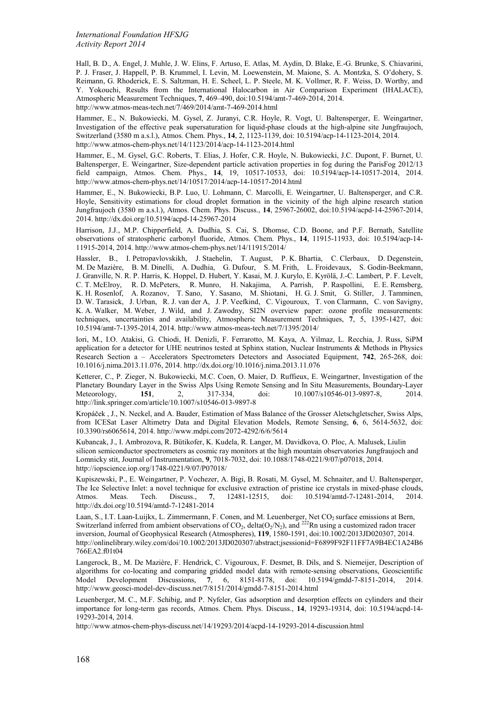Hall, B. D., A. Engel, J. Muhle, J. W. Elins, F. Artuso, E. Atlas, M. Aydin, D. Blake, E.-G. Brunke, S. Chiavarini, P. J. Fraser, J. Happell, P. B. Krummel, I. Levin, M. Loewenstein, M. Maione, S. A. Montzka, S. O'dohery, S. Reimann, G. Rhoderick, E. S. Saltzman, H. E. Scheel, L. P. Steele, M. K. Vollmer, R. F. Weiss, D. Worthy, and Y. Yokouchi, Results from the International Halocarbon in Air Comparison Experiment (IHALACE), Atmospheric Measurement Techniques, **7**, 469–490, doi:10.5194/amt-7-469-2014, 2014. http://www.atmos-meas-tech.net/7/469/2014/amt-7-469-2014.html

Hammer, E., N. Bukowiecki, M. Gysel, Z. Juranyi, C.R. Hoyle, R. Vogt, U. Baltensperger, E. Weingartner, Investigation of the effective peak supersaturation for liquid-phase clouds at the high-alpine site Jungfraujoch, Switzerland (3580 m a.s.l.), Atmos. Chem. Phys., **14**, 2, 1123-1139, doi: 10.5194/acp-14-1123-2014, 2014. http://www.atmos-chem-phys.net/14/1123/2014/acp-14-1123-2014.html

Hammer, E., M. Gysel, G.C. Roberts, T. Elias, J. Hofer, C.R. Hoyle, N. Bukowiecki, J.C. Dupont, F. Burnet, U. Baltensperger, E. Weingartner, Size-dependent particle activation properties in fog during the ParisFog 2012/13 field campaign, Atmos. Chem. Phys., **14**, 19, 10517-10533, doi: 10.5194/acp-14-10517-2014, 2014. http://www.atmos-chem-phys.net/14/10517/2014/acp-14-10517-2014.html

Hammer, E., N. Bukowiecki, B.P. Luo, U. Lohmann, C. Marcolli, E. Weingartner, U. Baltensperger, and C.R. Hoyle, Sensitivity estimations for cloud droplet formation in the vicinity of the high alpine research station Jungfraujoch (3580 m a.s.l.), Atmos. Chem. Phys. Discuss., **14**, 25967-26002, doi:10.5194/acpd-14-25967-2014, 2014. http://dx.doi.org/10.5194/acpd-14-25967-2014

Harrison, J.J., M.P. Chipperfield, A. Dudhia, S. Cai, S. Dhomse, C.D. Boone, and P.F. Bernath, Satellite observations of stratospheric carbonyl fluoride, Atmos. Chem. Phys., **14**, 11915-11933, doi: 10.5194/acp-14- 11915-2014, 2014. http://www.atmos-chem-phys.net/14/11915/2014/

Hassler, B., I. Petropavlovskikh, J. Staehelin, T. August, P. K. Bhartia, C. Clerbaux, D. Degenstein, M. De Mazière, B. M. Dinelli, A. Dudhia, G. Dufour, S. M. Frith, L. Froidevaux, S. Godin-Beekmann, J. Granville, N. R. P. Harris, K. Hoppel, D. Hubert, Y. Kasai, M. J. Kurylo, E. Kyrölä, J.-C. Lambert, P. F. Levelt, C. T. McElroy, R. D. McPeters, R. Munro, H. Nakajima, A. Parrish, P. Raspollini, E. E. Remsberg, K. H. Rosenlof, A. Rozanov, T. Sano, Y. Sasano, M. Shiotani, H. G. J. Smit, G. Stiller, J. Tamminen, D. W. Tarasick, J. Urban, R. J. van der A, J. P. Veefkind, C. Vigouroux, T. von Clarmann, C. von Savigny, K. A. Walker, M. Weber, J. Wild, and J. Zawodny, SI2N overview paper: ozone profile measurements: techniques, uncertainties and availability, Atmospheric Measurement Techniques, **7**, 5, 1395-1427, [doi:](http://www.atmos-meas-tech.net/7/1395/2014/amt-7-1395-2014.pdf)  [10.5194/amt-7-1395-2014](http://www.atmos-meas-tech.net/7/1395/2014/amt-7-1395-2014.pdf), 2014. http://www.atmos-meas-tech.net/7/1395/2014/

Iori, M., I.O. Atakisi, G. Chiodi, H. Denizli, F. Ferrarotto, M. Kaya, A. Yilmaz, L. Recchia, J. Russ, SiPM application for a detector for UHE neutrinos tested at Sphinx station, Nuclear Instruments & Methods in Physics Research Section a – Accelerators Spectrometers Detectors and Associated Equipment, **742**, 265-268, doi: 10.1016/j.nima.2013.11.076, 2014. http://dx.doi.org/10.1016/j.nima.2013.11.076

Ketterer, C., P. Zieger, N. Bukowiecki, M.C. Coen, O. Maier, D. Ruffieux, E. Weingartner, Investigation of the Planetary Boundary Layer in the Swiss Alps Using Remote Sensing and In Situ Measurements, Boundary-Layer<br>Meteorology 151 2 317-334 doi: 10.1007/s10546-013-9897-8 2014 Meteorology, **151**, 2, 317-334, doi: 10.1007/s10546-013-9897-8, http://link.springer.com/article/10.1007/s10546-013-9897-8

Kropáček , J., N. Neckel, and A. Bauder, Estimation of Mass Balance of the Grosser Aletschgletscher, Swiss Alps, from ICESat Laser Altimetry Data and Digital Elevation Models, Remote Sensing, **6**, 6, 5614-5632, doi: 10.3390/rs6065614, 2014. http://www.mdpi.com/2072-4292/6/6/5614

Kubancak, J., I. Ambrozova, R. Bütikofer, K. Kudela, R. Langer, M. Davidkova, O. Ploc, A. Malusek, Liulin silicon semiconductor spectrometers as cosmic ray monitors at the high mountain observatories Jungfraujoch and Lomnicky stit, Journal of Instrumentation, **9**, 7018-7032, doi: 10.1088/1748-0221/9/07/p07018, 2014. http://iopscience.iop.org/1748-0221/9/07/P07018/

Kupiszewski, P., E. Weingartner, P. Vochezer, A. Bigi, B. Rosati, M. Gysel, M. Schnaiter, and U. Baltensperger, The Ice Selective Inlet: a novel technique for exclusive extraction of pristine ice crystals in mixed-phase clouds, Atmos. Meas. Tech. Discuss., 7, 12481-12515, doi: 10.5194/amtd-7-12481-2014, 2014. Atmos. Meas. Tech. Discuss., **7**, 12481-12515, doi: 10.5194/amtd-7-12481-2014, 2014. http://dx.doi.org/10.5194/amtd-7-12481-2014

Laan, S., I.T. Laan-Luijkx, L. Zimmermann, F. Conen, and M. Leuenberger, Net CO<sub>2</sub> surface emissions at Bern, Switzerland inferred from ambient observations of  $CO_2$ , delta( $O_2/N_2$ ), and <sup>222</sup>Rn using a customized radon tracer inversion, Journal of Geophysical Research (Atmospheres), **119**, 1580-1591, doi:10.1002/2013JD020307, 2014. http://onlinelibrary.wiley.com/doi/10.1002/2013JD020307/abstract;jsessionid=F6899F92F11FF7A9B4EC1A24B6 766EA2.f01t04

Langerock, B., M. De Mazière, F. Hendrick, C. Vigouroux, F. Desmet, B. Dils, and S. Niemeijer, Description of algorithms for co-locating and comparing gridded model data with remote-sensing observations, Geoscientific Model Development Discussions, 7, 6, 8151-8178, doi: 10.5194/gmdd-7-8151-2014, 2014. Model Development Discussions, **7**, 6, 8151-8178, doi: [10.5194/gmdd-7-8151-2014, 2014.](http://www.geosci-model-dev-discuss.net/7/8151/2014/gmdd-7-8151-2014.pdf)  http://www.geosci-model-dev-discuss.net/7/8151/2014/gmdd-7-8151-2014.html

Leuenberger, M. C., M.F. Schibig, and P. Nyfeler, Gas adsorption and desorption effects on cylinders and their importance for long-term gas records, Atmos. Chem. Phys. Discuss., **14**, 19293-19314, doi: 10.5194/acpd-14- 19293-2014, 2014.

http://www.atmos-chem-phys-discuss.net/14/19293/2014/acpd-14-19293-2014-discussion.html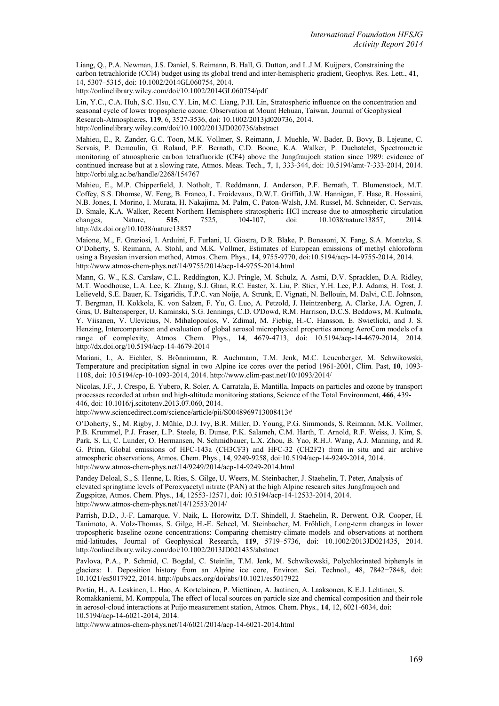Liang, Q., P.A. Newman, J.S. Daniel, S. Reimann, B. Hall, G. Dutton, and L.J.M. Kuijpers, Constraining the carbon tetrachloride (CCl4) budget using its global trend and inter-hemispheric gradient, Geophys. Res. Lett., **41**, 14, 5307–5315, doi: 10.1002/2014GL060754, 2014.

http://onlinelibrary.wiley.com/doi/10.1002/2014GL060754/pdf

Lin, Y.C., C.A. Huh, S.C. Hsu, C.Y. Lin, M.C. Liang, P.H. Lin, Stratospheric influence on the concentration and seasonal cycle of lower tropospheric ozone: Observation at Mount Hehuan, Taiwan, Journal of Geophysical Research-Atmospheres, **119**, 6, 3527-3536, doi: 10.1002/2013jd020736, 2014. http://onlinelibrary.wiley.com/doi/10.1002/2013JD020736/abstract

Mahieu, E., R. Zander, G.C. Toon, M.K. Vollmer, S. Reimann, J. Muehle, W. Bader, B. Bovy, B. Lejeune, C. Servais, P. Demoulin, G. Roland, P.F. Bernath, C.D. Boone, K.A. Walker, P. Duchatelet, Spectrometric monitoring of atmospheric carbon tetrafluoride (CF4) above the Jungfraujoch station since 1989: evidence of continued increase but at a slowing rate, Atmos. Meas. Tech., **7**, 1, 333-344, doi: 10.5194/amt-7-333-2014, 2014. http://orbi.ulg.ac.be/handle/2268/154767

Mahieu, E., M.P. Chipperfield, J. Notholt, T. Reddmann, J. Anderson, P.F. Bernath, T. Blumenstock, M.T. Coffey, S.S. Dhomse, W. Feng, B. Franco, L. Froidevaux, D.W.T. Griffith, J.W. Hannigan, F. Hase, R. Hossaini, N.B. Jones, I. Morino, I. Murata, H. Nakajima, M. Palm, C. Paton-Walsh, J.M. Russel, M. Schneider, C. Servais, D. Smale, K.A. Walker, Recent Northern Hemisphere stratospheric HCI increase due to atmospheric circulation changes. Nature. 515. 7525. 104-107. doi: 10.1038/nature13857. 2014. changes, Nature, **515**, 7525, 104-107, doi: 10.1038/nature13857, http://dx.doi.org/10.1038/nature13857

Maione, M., F. Graziosi, I. Arduini, F. Furlani, U. Giostra, D.R. Blake, P. Bonasoni, X. Fang, S.A. Montzka, S. O'Doherty, S. Reimann, A. Stohl, and M.K. Vollmer, Estimates of European emissions of methyl chloroform using a Bayesian inversion method, Atmos. Chem. Phys., **14**, 9755-9770, doi:10.5194/acp-14-9755-2014, 2014. http://www.atmos-chem-phys.net/14/9755/2014/acp-14-9755-2014.html

Mann, G. W., K.S. Carslaw, C.L. Reddington, K.J. Pringle, M. Schulz, A. Asmi, D.V. Spracklen, D.A. Ridley, M.T. Woodhouse, L.A. Lee, K. Zhang, S.J. Ghan, R.C. Easter, X. Liu, P. Stier, Y.H. Lee, P.J. Adams, H. Tost, J. Lelieveld, S.E. Bauer, K. Tsigaridis, T.P.C. van Noije, A. Strunk, E. Vignati, N. Bellouin, M. Dalvi, C.E. Johnson, T. Bergman, H. Kokkola, K. von Salzen, F. Yu, G. Luo, A. Petzold, J. Heintzenberg, A. Clarke, J.A. Ogren, J. Gras, U. Baltensperger, U. Kaminski, S.G. Jennings, C.D. O'Dowd, R.M. Harrison, D.C.S. Beddows, M. Kulmala, Y. Viisanen, V. Ulevicius, N. Mihalopoulos, V. Zdimal, M. Fiebig, H.-C. Hansson, E. Swietlicki, and J. S. Henzing, Intercomparison and evaluation of global aerosol microphysical properties among AeroCom models of a range of complexity, Atmos. Chem. Phys., **14**, 4679-4713, doi: 10.5194/acp-14-4679-2014, 2014. http://dx.doi.org/10.5194/acp-14-4679-2014

Mariani, I., A. Eichler, S. Brönnimann, R. Auchmann, T.M. Jenk, M.C. Leuenberger, M. Schwikowski, Temperature and precipitation signal in two Alpine ice cores over the period 1961-2001, Clim. Past, **10**, 1093- 1108, doi: 10.5194/cp-10-1093-2014, 2014. http://www.clim-past.net/10/1093/2014/

Nicolas, J.F., J. Crespo, E. Yubero, R. Soler, A. Carratala, E. Mantilla, Impacts on particles and ozone by transport processes recorded at urban and high-altitude monitoring stations, Science of the Total Environment, **466**, 439- 446, doi: 10.1016/j.scitotenv.2013.07.060, 2014.

http://www.sciencedirect.com/science/article/pii/S0048969713008413#

O'Doherty, S., M. Rigby, J. Mühle, D.J. Ivy, B.R. Miller, D. Young, P.G. Simmonds, S. Reimann, M.K. Vollmer, P.B. Krummel, P.J. Fraser, L.P. Steele, B. Dunse, P.K. Salameh, C.M. Harth, T. Arnold, R.F. Weiss, J. Kim, S. Park, S. Li, C. Lunder, O. Hermansen, N. Schmidbauer, L.X. Zhou, B. Yao, R.H.J. Wang, A.J. Manning, and R. G. Prinn, Global emissions of HFC-143a (CH3CF3) and HFC-32 (CH2F2) from in situ and air archive atmospheric observations, Atmos. Chem. Phys., **14**, 9249-9258, doi:10.5194/acp-14-9249-2014, 2014. http://www.atmos-chem-phys.net/14/9249/2014/acp-14-9249-2014.html

Pandey Deloal, S., S. Henne, L. Ries, S. Gilge, U. Weers, M. Steinbacher, J. Staehelin, T. Peter, Analysis of elevated springtime levels of Peroxyacetyl nitrate (PAN) at the high Alpine research sites Jungfraujoch and Zugspitze, Atmos. Chem. Phys., **14**, 12553-12571, doi: 10.5194/acp-14-12533-2014, 2014. http://www.atmos-chem-phys.net/14/12553/2014/

Parrish, D.D., J.-F. Lamarque, V. Naik, L. Horowitz, D.T. Shindell, J. Staehelin, R. Derwent, O.R. Cooper, H. Tanimoto, A. Volz-Thomas, S. Gilge, H.-E. Scheel, M. Steinbacher, M. Fröhlich, Long-term changes in lower tropospheric baseline ozone concentrations: Comparing chemistry-climate models and observations at northern mid-latitudes, Journal of Geophysical Research, **119**, 5719–5736, doi: 10.1002/2013JD021435, 2014. http://onlinelibrary.wiley.com/doi/10.1002/2013JD021435/abstract

Pavlova, P.A., P. Schmid, C. Bogdal, C. Steinlin, T.M. Jenk, M. Schwikowski, Polychlorinated biphenyls in glaciers: 1. Deposition history from an Alpine ice core, Environ. Sci. Technol., **4**8, 7842−7848, doi: 10.1021/es5017922, 2014. http://pubs.acs.org/doi/abs/10.1021/es5017922

Portin, H., A. Leskinen, L. Hao, A. Kortelainen, P. Miettinen, A. Jaatinen, A. Laaksonen, K.E.J. Lehtinen, S. Romakkaniemi, M. Komppula, The effect of local sources on particle size and chemical composition and their role in aerosol-cloud interactions at Puijo measurement station, Atmos. Chem. Phys., **14**, 12, 6021-6034, doi: 10.5194/acp-14-6021-2014, 2014.

http://www.atmos-chem-phys.net/14/6021/2014/acp-14-6021-2014.html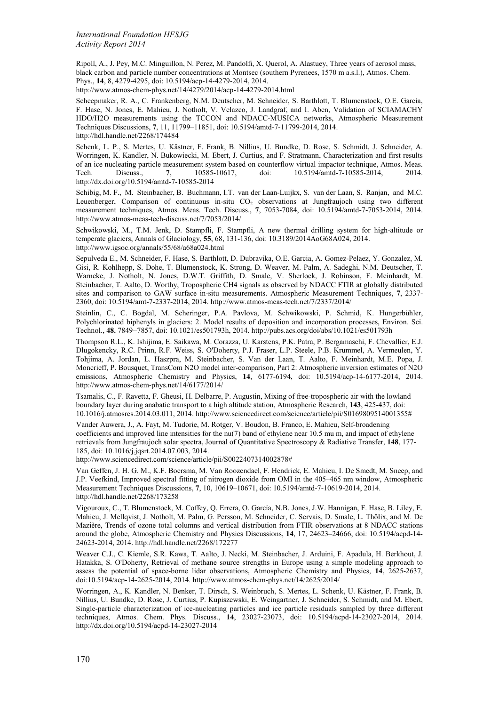Ripoll, A., J. Pey, M.C. Minguillon, N. Perez, M. Pandolfi, X. Querol, A. Alastuey, Three years of aerosol mass, black carbon and particle number concentrations at Montsec (southern Pyrenees, 1570 m a.s.l.), Atmos. Chem. Phys., **14**, 8, 4279-4295, doi: 10.5194/acp-14-4279-2014, 2014.

http://www.atmos-chem-phys.net/14/4279/2014/acp-14-4279-2014.html

Scheepmaker, R. A., C. Frankenberg, N.M. Deutscher, M. Schneider, S. Barthlott, T. Blumenstock, O.E. Garcia, F. Hase, N. Jones, E. Mahieu, J. Notholt, V. Velazco, J. Landgraf, and I. Aben, Validation of SCIAMACHY HDO/H2O measurements using the TCCON and NDACC-MUSICA networks, Atmospheric Measurement Techniques Discussions, **7**, 11, 11799–11851, doi: 10.5194/amtd-7-11799-2014, 2014. http://hdl.handle.net/2268/174484

Schenk, L. P., S. Mertes, U. Kästner, F. Frank, B. Nillius, U. Bundke, D. Rose, S. Schmidt, J. Schneider, A. Worringen, K. Kandler, N. Bukowiecki, M. Ebert, J. Curtius, and F. Stratmann, Characterization and first results of an ice nucleating particle measurement system based on counterflow virtual impactor technique, Atmos. Meas.<br>Tech. Discuss., 7, 10585-10617, doi: 10.5194/amtd-7-10585-2014, 2014. 10.5194/amtd-7-10585-2014. http://dx.doi.org/10.5194/amtd-7-10585-2014

Schibig, M. F., M. Steinbacher, B. Buchmann, I.T. van der Laan-Luijkx, S. van der Laan, S. Ranjan, and M.C. Leuenberger, Comparison of continuous in-situ  $CO<sub>2</sub>$  observations at Jungfraujoch using two different measurement techniques, Atmos. Meas. Tech. Discuss., **7**, 7053-7084, doi: 10.5194/amtd-7-7053-2014, 2014. http://www.atmos-meas-tech-discuss.net/7/7053/2014/

Schwikowski, M., T.M. Jenk, D. Stampfli, F. Stampfli, A new thermal drilling system for high-altitude or temperate glaciers, Annals of Glaciology, **55**, 68, 131-136, doi: 10.3189/2014AoG68A024, 2014. http://www.igsoc.org/annals/55/68/a68a024.html

Sepulveda E., M. Schneider, F. Hase, S. Barthlott, D. Dubravika, O.E. Garcia, A. Gomez-Pelaez, Y. Gonzalez, M. Gisi, R. Kohlhepp, S. Dohe, T. Blumenstock, K. Strong, D. Weaver, M. Palm, A. Sadeghi, N.M. Deutscher, T. Warneke, J. Notholt, N. Jones, D.W.T. Griffith, D. Smale, V. Sherlock, J. Robinson, F. Meinhardt, M. Steinbacher, T. Aalto, D. Worthy, Tropospheric CH4 signals as observed by NDACC FTIR at globally distributed sites and comparison to GAW surface in-situ measurements. Atmospheric Measurement Techniques, **7**, 2337- 2360, doi: 10.5194/amt-7-2337-2014, 2014. http://www.atmos-meas-tech.net/7/2337/2014/

Steinlin, C., C. Bogdal, M. Scheringer, P.A. Pavlova, M. Schwikowski, P. Schmid, K. Hungerbühler, Polychlorinated biphenyls in glaciers: 2. Model results of deposition and incorporation processes, Environ. Sci. Technol., **48**, 7849−7857, doi: 10.1021/es501793h, 2014. http://pubs.acs.org/doi/abs/10.1021/es501793h

Thompson R.L., K. Ishijima, E. Saikawa, M. Corazza, U. Karstens, P.K. Patra, P. Bergamaschi, F. Chevallier, E.J. Dlugokencky, R.C. Prinn, R.F. Weiss, S. O'Doherty, P.J. Fraser, L.P. Steele, P.B. Krummel, A. Vermeulen, Y. Tohjima, A. Jordan, L. Haszpra, M. Steinbacher, S. Van der Laan, T. Aalto, F. Meinhardt, M.E. Popa, J. Moncrieff, P. Bousquet, TransCom N2O model inter-comparison, Part 2: Atmospheric inversion estimates of N2O emissions, Atmospheric Chemistry and Physics, **14**, 6177-6194, doi: 10.5194/acp-14-6177-2014, 2014. http://www.atmos-chem-phys.net/14/6177/2014/

Tsamalis, C., F. Ravetta, F. Gheusi, H. Delbarre, P. Augustin, Mixing of free-tropospheric air with the lowland boundary layer during anabatic transport to a high altitude station, Atmospheric Research, **143**, 425-437, doi: 10.1016/j.atmosres.2014.03.011, 2014. http://www.sciencedirect.com/science/article/pii/S0169809514001355#

Vander Auwera, J., A. Fayt, M. Tudorie, M. Rotger, V. Boudon, B. Franco, E. Mahieu, Self-broadening coefficients and improved line intensities for the nu(7) band of ethylene near 10.5 mu m, and impact of ethylene retrievals from Jungfraujoch solar spectra, Journal of Quantitative Spectroscopy & Radiative Transfer, **148**, 177- 185, doi: 10.1016/j.jqsrt.2014.07.003, 2014.

http://www.sciencedirect.com/science/article/pii/S0022407314002878#

Van Geffen, J. H. G. M., K.F. Boersma, M. Van Roozendael, F. Hendrick, E. Mahieu, I. De Smedt, M. Sneep, and J.P. Veefkind, Improved spectral fitting of nitrogen dioxide from OMI in the 405–465 nm window, Atmospheric Measurement Techniques Discussions, **7**, 10, 10619–10671, doi: 10.5194/amtd-7-10619-2014, 2014. http://hdl.handle.net/2268/173258

Vigouroux, C., T. Blumenstock, M. Coffey, Q. Errera, O. García, N.B. Jones, J.W. Hannigan, F. Hase, B. Liley, E. Mahieu, J. Mellqvist, J. Notholt, M. Palm, G. Persson, M. Schneider, C. Servais, D. Smale, L. Thölix, and M. De Mazière, Trends of ozone total columns and vertical distribution from FTIR observations at 8 NDACC stations around the globe, Atmospheric Chemistry and Physics Discussions, **14**, 17, 24623–24666, doi: 10.5194/acpd-14- 24623-2014, 2014. http://hdl.handle.net/2268/172277

Weaver C.J., C. Kiemle, S.R. Kawa, T. Aalto, J. Necki, M. Steinbacher, J. Arduini, F. Apadula, H. Berkhout, J. Hatakka, S. O'Doherty, Retrieval of methane source strengths in Europe using a simple modeling approach to assess the potential of space-borne lidar observations, Atmospheric Chemistry and Physics, **14**, 2625-2637, doi:10.5194/acp-14-2625-2014, 2014. http://www.atmos-chem-phys.net/14/2625/2014/

Worringen, A., K. Kandler, N. Benker, T. Dirsch, S. Weinbruch, S. Mertes, L. Schenk, U. Kästner, F. Frank, B. Nillius, U. Bundke, D. Rose, J. Curtius, P. Kupiszewski, E. Weingartner, J. Schneider, S. Schmidt, and M. Ebert, Single-particle characterization of ice-nucleating particles and ice particle residuals sampled by three different techniques, Atmos. Chem. Phys. Discuss., **14**, 23027-23073, doi: 10.5194/acpd-14-23027-2014, 2014. http://dx.doi.org/10.5194/acpd-14-23027-2014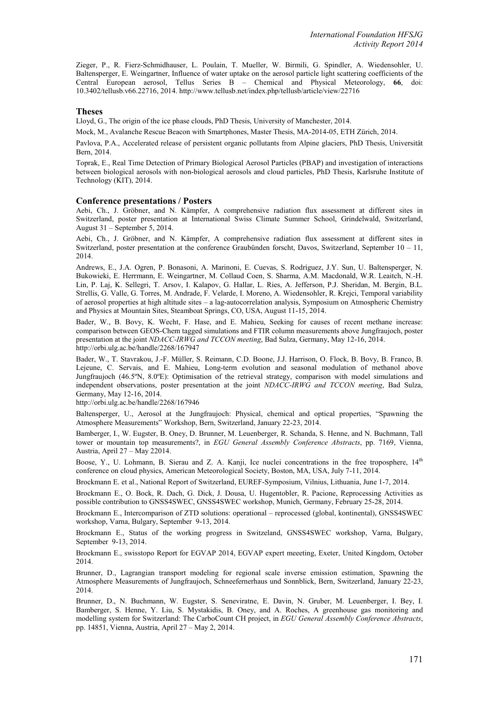Zieger, P., R. Fierz-Schmidhauser, L. Poulain, T. Mueller, W. Birmili, G. Spindler, A. Wiedensohler, U. Baltensperger, E. Weingartner, Influence of water uptake on the aerosol particle light scattering coefficients of the Central European aerosol, Tellus Series B – Chemical and Physical Meteorology, **66**, doi: 10.3402/tellusb.v66.22716, 2014. http://www.tellusb.net/index.php/tellusb/article/view/22716

#### **Theses**

Lloyd, G., The origin of the ice phase clouds, PhD Thesis, University of Manchester, 2014.

Mock, M., Avalanche Rescue Beacon with Smartphones, Master Thesis, MA-2014-05, ETH Zürich, 2014.

Pavlova, P.A., Accelerated release of persistent organic pollutants from Alpine glaciers, PhD Thesis, Universität Bern, 2014.

Toprak, E., Real Time Detection of Primary Biological Aerosol Particles (PBAP) and investigation of interactions between biological aerosols with non-biological aerosols and cloud particles, PhD Thesis, Karlsruhe Institute of Technology (KIT), 2014.

#### **Conference presentations / Posters**

Aebi, Ch., J. Gröbner, and N. Kämpfer, A comprehensive radiation flux assessment at different sites in Switzerland, poster presentation at International Swiss Climate Summer School, Grindelwald, Switzerland, August 31 – September 5, 2014.

Aebi, Ch., J. Gröbner, and N. Kämpfer, A comprehensive radiation flux assessment at different sites in Switzerland, poster presentation at the conference Graubünden forscht, Davos, Switzerland, September 10 – 11, 2014.

Andrews, E., J.A. Ogren, P. Bonasoni, A. Marinoni, E. Cuevas, S. Rodríguez, J.Y. Sun, U. Baltensperger, N. Bukowieki, E. Herrmann, E. Weingartner, M. Collaud Coen, S. Sharma, A.M. Macdonald, W.R. Leaitch, N.-H. Lin, P. Laj, K. Sellegri, T. Arsov, I. Kalapov, G. Hallar, L. Ries, A. Jefferson, P.J. Sheridan, M. Bergin, B.L. Strellis, G. Valle, G. Torres, M. Andrade, F. Velarde, I. Moreno, A. Wiedensohler, R. Krejci, Temporal variability of aerosol properties at high altitude sites – a lag-autocorrelation analysis, Symposium on Atmospheric Chemistry and Physics at Mountain Sites, Steamboat Springs, CO, USA, August 11-15, 2014.

Bader, W., B. Bovy, K. Wecht, F. Hase, and E. Mahieu, Seeking for causes of recent methane increase: comparison between GEOS-Chem tagged simulations and FTIR column measurements above Jungfraujoch, poster presentation at the joint *NDACC-IRWG and TCCON meeting*, Bad Sulza, Germany, May 12-16, 2014. http://orbi.ulg.ac.be/handle/2268/167947

Bader, W., T. Stavrakou, J.-F. Müller, S. Reimann, C.D. Boone, J.J. Harrison, O. Flock, B. Bovy, B. Franco, B. Lejeune, C. Servais, and E. Mahieu, Long-term evolution and seasonal modulation of methanol above Jungfraujoch (46.5ºN, 8.0ºE): Optimisation of the retrieval strategy, comparison with model simulations and independent observations, poster presentation at the joint *NDACC-IRWG and TCCON meeting*, Bad Sulza, Germany, May 12-16, 2014.

http://orbi.ulg.ac.be/handle/2268/167946

Baltensperger, U., Aerosol at the Jungfraujoch: Physical, chemical and optical properties, "Spawning the Atmosphere Measurements" Workshop, Bern, Switzerland, January 22-23, 2014.

Bamberger, I., W. Eugster, B. Oney, D. Brunner, M. Leuenberger, R. Schanda, S. Henne, and N. Buchmann, Tall tower or mountain top measurements?, in *EGU General Assembly Conference Abstracts*, pp. 7169, Vienna, Austria, April 27 – May 22014.

Boose, Y., U. Lohmann, B. Sierau and Z. A. Kanji, Ice nuclei concentrations in the free troposphere,  $14<sup>th</sup>$ conference on cloud physics, American Meteorological Society, Boston, MA, USA, July 7-11, 2014.

Brockmann E. et al., National Report of Switzerland, EUREF-Symposium, Vilnius, Lithuania, June 1-7, 2014.

Brockmann E., O. Bock, R. Dach, G. Dick, J. Dousa, U. Hugentobler, R. Pacione, Reprocessing Activities as possible contribution to GNSS4SWEC, GNSS4SWEC workshop, Munich, Germany, February 25-28, 2014.

Brockmann E., Intercomparison of ZTD solutions: operational – reprocessed (global, kontinental), GNSS4SWEC workshop, Varna, Bulgary, September 9-13, 2014.

Brockmann E., Status of the working progress in Switzeland, GNSS4SWEC workshop, Varna, Bulgary, September 9-13, 2014.

Brockmann E., swisstopo Report for EGVAP 2014, EGVAP expert meeeting, Exeter, United Kingdom, October 2014.

Brunner, D., Lagrangian transport modeling for regional scale inverse emission estimation, Spawning the Atmosphere Measurements of Jungfraujoch, Schneefernerhaus und Sonnblick, Bern, Switzerland, January 22-23, 2014.

Brunner, D., N. Buchmann, W. Eugster, S. Seneviratne, E. Davin, N. Gruber, M. Leuenberger, I. Bey, I. Bamberger, S. Henne, Y. Liu, S. Mystakidis, B. Oney, and A. Roches, A greenhouse gas monitoring and modelling system for Switzerland: The CarboCount CH project, in *EGU General Assembly Conference Abstracts*, pp. 14851, Vienna, Austria, April 27 – May 2, 2014.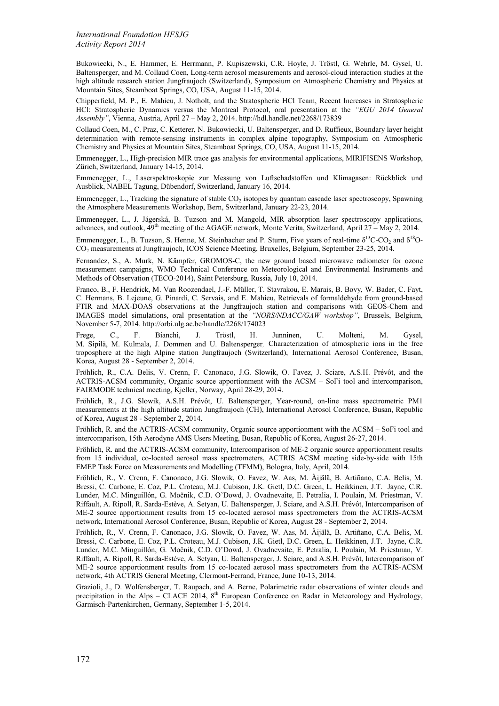Bukowiecki, N., E. Hammer, E. Herrmann, P. Kupiszewski, C.R. Hoyle, J. Tröstl, G. Wehrle, M. Gysel, U. Baltensperger, and M. Collaud Coen, Long-term aerosol measurements and aerosol-cloud interaction studies at the high altitude research station Jungfraujoch (Switzerland), Symposium on Atmospheric Chemistry and Physics at Mountain Sites, Steamboat Springs, CO, USA, August 11-15, 2014.

Chipperfield, M. P., E. Mahieu, J. Notholt, and the Stratospheric HCl Team, Recent Increases in Stratospheric HCl: Stratospheric Dynamics versus the Montreal Protocol, oral presentation at the *"EGU 2014 General Assembly"*, Vienna, Austria, April 27 – May 2, 2014. http://hdl.handle.net/2268/173839

Collaud Coen, M., C. Praz, C. Ketterer, N. Bukowiecki, U. Baltensperger, and D. Ruffieux, Boundary layer height determination with remote-sensing instruments in complex alpine topography, Symposium on Atmospheric Chemistry and Physics at Mountain Sites, Steamboat Springs, CO, USA, August 11-15, 2014.

Emmenegger, L., High-precision MIR trace gas analysis for environmental applications, MIRIFISENS Workshop, Zürich, Switzerland, January 14-15, 2014.

Emmenegger, L., Laserspektroskopie zur Messung von Luftschadstoffen und Klimagasen: Rückblick und Ausblick, NABEL Tagung, Dübendorf, Switzerland, January 16, 2014.

Emmenegger, L., Tracking the signature of stable  $CO<sub>2</sub>$  isotopes by quantum cascade laser spectroscopy, Spawning the Atmosphere Measurements Workshop, Bern, Switzerland, January 22-23, 2014.

Emmenegger, L., J. Jágerská, B. Tuzson and M. Mangold, MIR absorption laser spectroscopy applications, advances, and outlook,  $49<sup>th</sup>$  meeting of the AGAGE network, Monte Verita, Switzerland, April 27 – May 2, 2014.

Emmenegger, L., B. Tuzson, S. Henne, M. Steinbacher and P. Sturm, Five years of real-time  $\delta^{13}$ C-CO<sub>2</sub> and  $\delta^{18}$ O-CO2 measurements at Jungfraujoch, ICOS Science Meeting, Bruxelles, Belgium, September 23-25, 2014.

Fernandez, S., A. Murk, N. Kämpfer, GROMOS-C, the new ground based microwave radiometer for ozone measurement campaigns, WMO Technical Conference on Meteorological and Environmental Instruments and Methods of Observation (TECO-2014), Saint Petersburg, Russia, July 10, 2014.

Franco, B., F. Hendrick, M. Van Roozendael, J.-F. Müller, T. Stavrakou, E. Marais, B. Bovy, W. Bader, C. Fayt, C. Hermans, B. Lejeune, G. Pinardi, C. Servais, and E. Mahieu, Retrievals of formaldehyde from ground-based FTIR and MAX-DOAS observations at the Jungfraujoch station and comparisons with GEOS-Chem and IMAGES model simulations, oral presentation at the *"NORS/NDACC/GAW workshop"*, Brussels, Belgium, November 5-7, 2014. http://orbi.ulg.ac.be/handle/2268/174023

Frege, C., F. Bianchi, J. Tröstl, H. Junninen, U. Molteni, M. Gysel, M. Sipilä, M. Kulmala, J. Dommen and U. Baltensperger*,* Characterization of atmospheric ions in the free troposphere at the high Alpine station Jungfraujoch (Switzerland), International Aerosol Conference, Busan, Korea, August 28 - September 2, 2014.

Fröhlich, R., C.A. Belis, V. Crenn, F. Canonaco, J.G. Slowik, O. Favez, J. Sciare, A.S.H. Prévôt, and the ACTRIS-ACSM community, Organic source apportionment with the ACSM – SoFi tool and intercomparison, FAIRMODE technical meeting, Kjeller, Norway, April 28-29, 2014.

Fröhlich, R., J.G. Slowik, A.S.H. Prévôt, U. Baltensperger, Year-round, on-line mass spectrometric PM1 measurements at the high altitude station Jungfraujoch (CH), International Aerosol Conference, Busan, Republic of Korea, August 28 - September 2, 2014.

Fröhlich, R. and the ACTRIS-ACSM community, Organic source apportionment with the ACSM – SoFi tool and intercomparison, 15th Aerodyne AMS Users Meeting, Busan, Republic of Korea, August 26-27, 2014.

Fröhlich, R. and the ACTRIS-ACSM community, Intercomparison of ME-2 organic source apportionment results from 15 individual, co-located aerosol mass spectrometers, ACTRIS ACSM meeting side-by-side with 15th EMEP Task Force on Measurements and Modelling (TFMM), Bologna, Italy, April, 2014.

Fröhlich, R., V. Crenn, F. Canonaco, J.G. Slowik, O. Favez, W. Aas, M. Äijälä, B. Artiñano, C.A. Belis, M. Bressi, C. Carbone, E. Coz, P.L. Croteau, M.J. Cubison, J.K. Gietl, D.C. Green, L. Heikkinen, J.T. Jayne, C.R. Lunder, M.C. Minguillón, G. Močnik, C.D. O'Dowd, J. Ovadnevaite, E. Petralia, I. Poulain, M. Priestman, V. Riffault, A. Ripoll, R. Sarda-Estève, A. Setyan, U. Baltensperger, J. Sciare, and A.S.H. Prévôt, Intercomparison of ME-2 source apportionment results from 15 co-located aerosol mass spectrometers from the ACTRIS-ACSM network, International Aerosol Conference, Busan, Republic of Korea, August 28 - September 2, 2014.

Fröhlich, R., V. Crenn, F. Canonaco, J.G. Slowik, O. Favez, W. Aas, M. Äijälä, B. Artiñano, C.A. Belis, M. Bressi, C. Carbone, E. Coz, P.L. Croteau, M.J. Cubison, J.K. Gietl, D.C. Green, L. Heikkinen, J.T. Jayne, C.R. Lunder, M.C. Minguillón, G. Močnik, C.D. O'Dowd, J. Ovadnevaite, E. Petralia, I. Poulain, M. Priestman, V. Riffault, A. Ripoll, R. Sarda-Estève, A. Setyan, U. Baltensperger, J. Sciare, and A.S.H. Prévôt, Intercomparison of ME-2 source apportionment results from 15 co-located aerosol mass spectrometers from the ACTRIS-ACSM network, 4th ACTRIS General Meeting, Clermont-Ferrand, France, June 10-13, 2014.

Grazioli, J., D. Wolfensberger, T. Raupach, and A. Berne, Polarimetric radar observations of winter clouds and precipitation in the Alps – CLACE 2014,  $8<sup>th</sup>$  European Conference on Radar in Meteorology and Hydrology, Garmisch-Partenkirchen, Germany, September 1-5, 2014.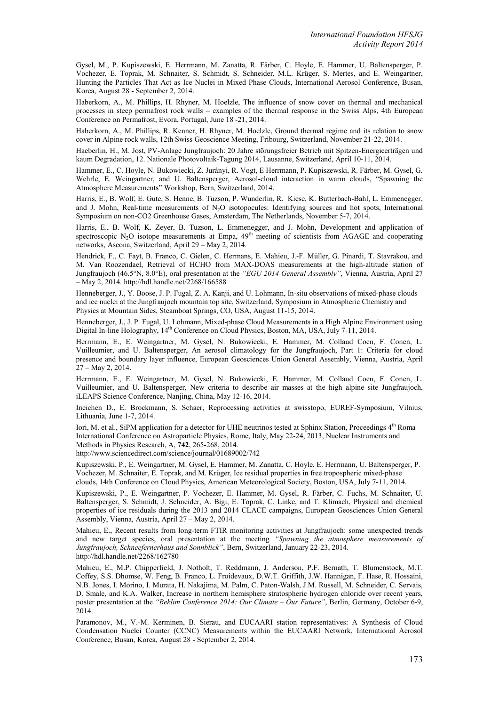Gysel, M., P. Kupiszewski, E. Herrmann, M. Zanatta, R. Färber, C. Hoyle, E. Hammer, U. Baltensperger, P. Vochezer, E. Toprak, M. Schnaiter, S. Schmidt, S. Schneider, M.L. Krüger, S. Mertes, and E. Weingartner, Hunting the Particles That Act as Ice Nuclei in Mixed Phase Clouds, International Aerosol Conference, Busan, Korea, August 28 - September 2, 2014.

Haberkorn, A., M. Phillips, H. Rhyner, M. Hoelzle, The influence of snow cover on thermal and mechanical processes in steep permafrost rock walls – examples of the thermal response in the Swiss Alps, 4th European Conference on Permafrost, Evora, Portugal, June 18 -21, 2014.

Haberkorn, A., M. Phillips, R. Kenner, H. Rhyner, M. Hoelzle, Ground thermal regime and its relation to snow cover in Alpine rock walls, 12th Swiss Geoscience Meeting, Fribourg, Switzerland, November 21-22, 2014.

Haeberlin, H., M. Jost, PV-Anlage Jungfraujoch: 20 Jahre störungsfreier Betrieb mit Spitzen-Energieerträgen und kaum Degradation, 12. Nationale Photovoltaik-Tagung 2014, Lausanne, Switzerland, April 10-11, 2014.

Hammer, E., C. Hoyle, N. Bukowiecki, Z. Jurányi, R. Vogt, E Herrmann, P. Kupiszewski, R. Färber, M. Gysel, G. Wehrle, E. Weingartner, and U. Baltensperger, Aerosol-cloud interaction in warm clouds, "Spawning the Atmosphere Measurements" Workshop, Bern, Switzerland, 2014.

Harris, E., B. Wolf, E. Gute, S. Henne, B. Tuzson, P. Wunderlin, R. Kiese, K. Butterbach-Bahl, L. Emmenegger, and J. Mohn, Real-time measurements of N<sub>2</sub>O isotopocules: Identifying sources and hot spots, International Symposium on non-CO2 Greenhouse Gases, Amsterdam, The Netherlands, November 5-7, 2014.

Harris, E., B. Wolf, K. Zeyer, B. Tuzson, L. Emmenegger, and J. Mohn, Development and application of spectroscopic N<sub>2</sub>O isotope measurements at Empa, 49<sup>th</sup> meeting of scientists from AGAGE and cooperating networks, Ascona, Switzerland, April 29 – May 2, 2014.

Hendrick, F., C. Fayt, B. Franco, C. Gielen, C. Hermans, E. Mahieu, J.-F. Müller, G. Pinardi, T. Stavrakou, and M. Van Roozendael, Retrieval of HCHO from MAX-DOAS measurements at the high-altitude station of Jungfraujoch (46.5°N, 8.0°E), oral presentation at the *"EGU 2014 General Assembly"*, Vienna, Austria, April 27 – May 2, 2014. http://hdl.handle.net/2268/166588

Henneberger, J., Y. Boose, J. P. Fugal, Z. A. Kanji, and U. Lohmann, In-situ observations of mixed-phase clouds and ice nuclei at the Jungfraujoch mountain top site, Switzerland, Symposium in Atmospheric Chemistry and Physics at Mountain Sides, Steamboat Springs, CO, USA, August 11-15, 2014.

Henneberger, J., J. P. Fugal, U. Lohmann, Mixed-phase Cloud Measurements in a High Alpine Environment using Digital In-line Holography, 14<sup>th</sup> Conference on Cloud Physics, Boston, MA, USA, July 7-11, 2014.

Herrmann, E., E. Weingartner, M. Gysel, N. Bukowiecki, E. Hammer, M. Collaud Coen, F. Conen, L. Vuilleumier, and U. Baltensperger, An aerosol climatology for the Jungfraujoch, Part 1: Criteria for cloud presence and boundary layer influence, European Geosciences Union General Assembly, Vienna, Austria, April 27 – May 2, 2014.

Herrmann, E., E. Weingartner, M. Gysel, N. Bukowiecki, E. Hammer, M. Collaud Coen, F. Conen, L. Vuilleumier, and U. Baltensperger, New criteria to describe air masses at the high alpine site Jungfraujoch, iLEAPS Science Conference, Nanjing, China, May 12-16, 2014.

Ineichen D., E. Brockmann, S. Schaer, Reprocessing activities at swisstopo, EUREF-Symposium, Vilnius, Lithuania, June 1-7, 2014.

Iori, M. et al., SiPM application for a detector for UHE neutrinos tested at Sphinx Station, Proceedings 4<sup>th</sup> Roma International Conference on Astroparticle Physics, Rome, Italy, May 22-24, 2013, Nuclear Instruments and Methods in Physics Research, A, **742**, 265-268, 2014.

http://www.sciencedirect.com/science/journal/01689002/742

Kupiszewski, P., E. Weingartner, M. Gysel, E. Hammer, M. Zanatta, C. Hoyle, E. Herrmann, U. Baltensperger, P. Vochezer, M. Schnaiter, E. Toprak, and M. Krüger, Ice residual properties in free tropospheric mixed-phase clouds, 14th Conference on Cloud Physics, American Meteorological Society, Boston, USA, July 7-11, 2014.

Kupiszewski, P., E. Weingartner, P. Vochezer, E. Hammer, M. Gysel, R. Färber, C. Fuchs, M. Schnaiter, U. Baltensperger, S. Schmidt, J. Schneider, A. Bigi, E. Toprak, C. Linke, and T. Klimach, Physical and chemical properties of ice residuals during the 2013 and 2014 CLACE campaigns, European Geosciences Union General Assembly, Vienna, Austria, April 27 – May 2, 2014.

Mahieu, E., Recent results from long-term FTIR monitoring activities at Jungfraujoch: some unexpected trends and new target species, oral presentation at the meeting *"Spawning the atmosphere measurements of Jungfraujoch, Schneefernerhaus and Sonnblick"*, Bern, Switzerland, January 22-23, 2014. http://hdl.handle.net/2268/162780

Mahieu, E., M.P. Chipperfield, J. Notholt, T. Reddmann, J. Anderson, P.F. Bernath, T. Blumenstock, M.T. Coffey, S.S. Dhomse, W. Feng, B. Franco, L. Froidevaux, D.W.T. Griffith, J.W. Hannigan, F. Hase, R. Hossaini, N.B. Jones, I. Morino, I. Murata, H. Nakajima, M. Palm, C. Paton-Walsh, J.M. Russell, M. Schneider, C. Servais, D. Smale, and K.A. Walker, Increase in northern hemisphere stratospheric hydrogen chloride over recent years, poster presentation at the *"Reklim Conference 2014: Our Climate – Our Future"*, Berlin, Germany, October 6-9, 2014.

Paramonov, M., V.-M. Kerminen, B. Sierau, and EUCAARI station representatives: A Synthesis of Cloud Condensation Nuclei Counter (CCNC) Measurements within the EUCAARI Network, International Aerosol Conference, Busan, Korea, August 28 - September 2, 2014.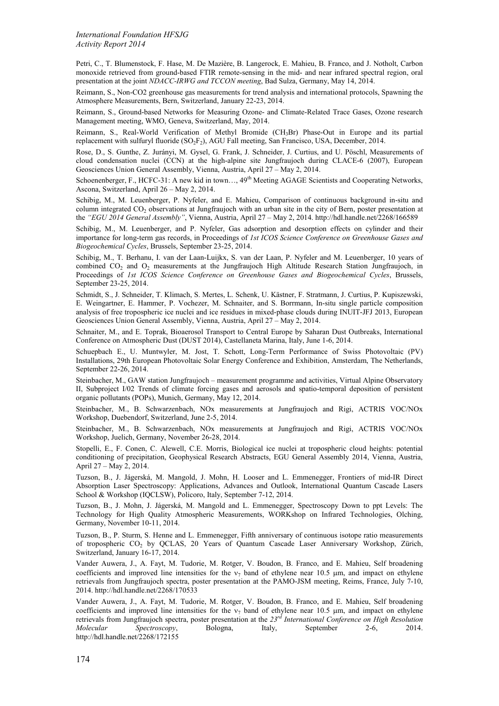Petri, C., T. Blumenstock, F. Hase, M. De Mazière, B. Langerock, E. Mahieu, B. Franco, and J. Notholt, Carbon monoxide retrieved from ground-based FTIR remote-sensing in the mid- and near infrared spectral region, oral presentation at the joint *NDACC-IRWG and TCCON meeting*, Bad Sulza, Germany, May 14, 2014.

Reimann, S., Non-CO2 greenhouse gas measurements for trend analysis and international protocols, Spawning the Atmosphere Measurements, Bern, Switzerland, January 22-23, 2014.

Reimann, S., Ground-based Networks for Measuring Ozone- and Climate-Related Trace Gases, Ozone research Management meeting, WMO, Geneva, Switzerland, May, 2014.

Reimann, S., Real-World Verification of Methyl Bromide (CH3Br) Phase-Out in Europe and its partial replacement with sulfuryl fluoride  $(SO<sub>2</sub>F<sub>2</sub>)$ , AGU Fall meeting, San Francisco, USA, December, 2014.

Rose, D., S. Gunthe, Z. Jurányi, M. Gysel, G. Frank, J. Schneider, J. Curtius, and U. Pöschl, Measurements of cloud condensation nuclei (CCN) at the high-alpine site Jungfraujoch during CLACE-6 (2007), European Geosciences Union General Assembly, Vienna, Austria, April 27 – May 2, 2014.

Schoenenberger, F., HCFC-31: A new kid in town...,  $49<sup>th</sup>$  Meeting AGAGE Scientists and Cooperating Networks, Ascona, Switzerland, April 26 – May 2, 2014.

Schibig, M., M. Leuenberger, P. Nyfeler, and E. Mahieu, Comparison of continuous background in-situ and column integrated CO2 observations at Jungfraujoch with an urban site in the city of Bern, poster presentation at the *"EGU 2014 General Assembly"*, Vienna, Austria, April 27 – May 2, 2014. http://hdl.handle.net/2268/166589

Schibig, M., M. Leuenberger, and P. Nyfeler, Gas adsorption and desorption effects on cylinder and their importance for long-term gas records, in Proceedings of *1st ICOS Science Conference on Greenhouse Gases and Biogeochemical Cycles*, Brussels, September 23-25, 2014.

Schibig, M., T. Berhanu, I. van der Laan-Luijkx, S. van der Laan, P. Nyfeler and M. Leuenberger, 10 years of combined CO<sub>2</sub> and O<sub>2</sub> measurements at the Jungfraujoch High Altitude Research Station Jungfraujoch, in Proceedings of *1st ICOS Science Conference on Greenhouse Gases and Biogeochemical Cycles*, Brussels, September 23-25, 2014.

Schmidt, S., J. Schneider, T. Klimach, S. Mertes, L. Schenk, U. Kästner, F. Stratmann, J. Curtius, P. Kupiszewski, E. Weingartner, E. Hammer, P. Vochezer, M. Schnaiter, and S. Borrmann, In-situ single particle composition analysis of free tropospheric ice nuclei and ice residues in mixed-phase clouds during INUIT-JFJ 2013, European Geosciences Union General Assembly, Vienna, Austria, April 27 – May 2, 2014.

Schnaiter, M., and E. Toprak, Bioaerosol Transport to Central Europe by Saharan Dust Outbreaks, International Conference on Atmospheric Dust (DUST 2014), Castellaneta Marina, Italy, June 1-6, 2014.

Schuepbach E., U. Muntwyler, M. Jost, T. Schott, Long-Term Performance of Swiss Photovoltaic (PV) Installations, 29th European Photovoltaic Solar Energy Conference and Exhibition, Amsterdam, The Netherlands, September 22-26, 2014.

Steinbacher, M., GAW station Jungfraujoch – measurement programme and activities, Virtual Alpine Observatory II, Subproject I/02 Trends of climate forcing gases and aerosols and spatio-temporal deposition of persistent organic pollutants (POPs), Munich, Germany, May 12, 2014.

Steinbacher, M., B. Schwarzenbach, NOx measurements at Jungfraujoch and Rigi, ACTRIS VOC/NOx Workshop, Duebendorf, Switzerland, June 2-5, 2014.

Steinbacher, M., B. Schwarzenbach, NOx measurements at Jungfraujoch and Rigi, ACTRIS VOC/NOx Workshop, Juelich, Germany, November 26-28, 2014.

Stopelli, E., F. Conen, C. Alewell, C.E. Morris, Biological ice nuclei at tropospheric cloud heights: potential conditioning of precipitation, Geophysical Research Abstracts, EGU General Assembly 2014, Vienna, Austria, April 27 – May 2, 2014.

Tuzson, B., J. Jágerská, M. Mangold, J. Mohn, H. Looser and L. Emmenegger, Frontiers of mid-IR Direct Absorption Laser Spectroscopy: Applications, Advances and Outlook, International Quantum Cascade Lasers School & Workshop (IQCLSW), Policoro, Italy, September 7-12, 2014.

Tuzson, B., J. Mohn, J. Jágerská, M. Mangold and L. Emmenegger, Spectroscopy Down to ppt Levels: The Technology for High Quality Atmospheric Measurements, WORKshop on Infrared Technologies, Olching, Germany, November 10-11, 2014.

Tuzson, B., P. Sturm, S. Henne and L. Emmenegger, Fifth anniversary of continuous isotope ratio measurements of tropospheric CO<sub>2</sub> by QCLAS, 20 Years of Quantum Cascade Laser Anniversary Workshop, Zürich, Switzerland, January 16-17, 2014.

Vander Auwera, J., A. Fayt, M. Tudorie, M. Rotger, V. Boudon, B. Franco, and E. Mahieu, Self broadening coefficients and improved line intensities for the  $v_7$  band of ethylene near 10.5 µm, and impact on ethylene retrievals from Jungfraujoch spectra, poster presentation at the PAMO-JSM meeting, Reims, France, July 7-10, 2014. http://hdl.handle.net/2268/170533

Vander Auwera, J., A. Fayt, M. Tudorie, M. Rotger, V. Boudon, B. Franco, and E. Mahieu, Self broadening coefficients and improved line intensities for the  $v_7$  band of ethylene near 10.5  $\mu$ m, and impact on ethylene retrievals from Jungfraujoch spectra, poster presentation at the  $23^{rd}$  *International Conference on High Resolution Molecular* Spectroscopy, Bologna, Italy, September 2-6, 2014. *Spectroscopy*, Bologna, Italy, September 2-6, 2014. http://hdl.handle.net/2268/172155